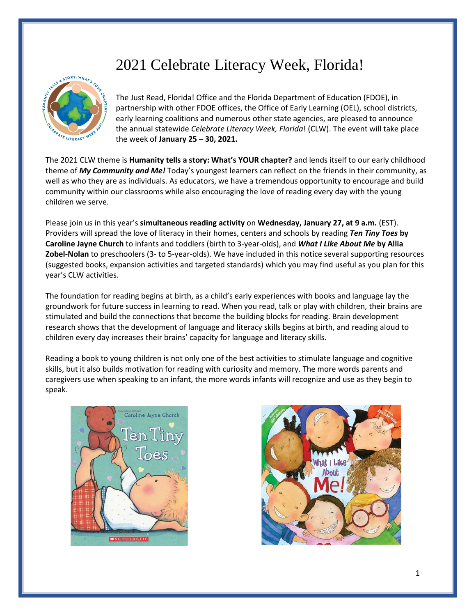# 2021 Celebrate Literacy Week, Florida!



The Just Read, Florida! Office and the Florida Department of Education (FDOE), in partnership with other FDOE offices, the Office of Early Learning (OEL), school districts, early learning coalitions and numerous other state agencies, are pleased to announce the annual statewide *Celebrate Literacy Week, Florida*! (CLW). The event will take place the week of **January 25 – 30, 2021.**

The 2021 CLW theme is **Humanity tells a story: What's YOUR chapter?** and lends itself to our early childhood theme of *My Community and Me!* Today's youngest learners can reflect on the friends in their community, as well as who they are as individuals. As educators, we have a tremendous opportunity to encourage and build community within our classrooms while also encouraging the love of reading every day with the young children we serve.

Please join us in this year's **simultaneous reading activity** on **Wednesday, January 27, at 9 a.m.** (EST). Providers will spread the love of literacy in their homes, centers and schools by reading *Ten Tiny Toes* **by Caroline Jayne Church** to infants and toddlers (birth to 3-year-olds), and *What I Like About Me* **by Allia Zobel-Nolan** to preschoolers (3- to 5-year-olds). We have included in this notice several supporting resources (suggested books, expansion activities and targeted standards) which you may find useful as you plan for this year's CLW activities.

The foundation for reading begins at birth, as a child's early experiences with books and language lay the groundwork for future success in learning to read. When you read, talk or play with children, their brains are stimulated and build the connections that become the building blocks for reading. Brain development research shows that the development of language and literacy skills begins at birth, and reading aloud to children every day increases their brains' capacity for language and literacy skills.

Reading a book to young children is not only one of the best activities to stimulate language and cognitive skills, but it also builds motivation for reading with curiosity and memory. The more words parents and caregivers use when speaking to an infant, the more words infants will recognize and use as they begin to speak.



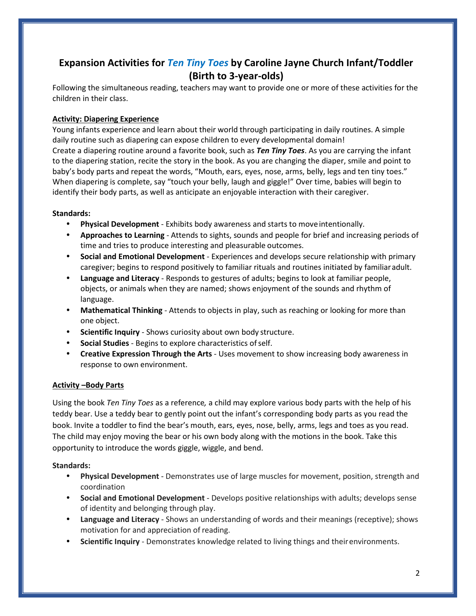# **Expansion Activities for** *Ten Tiny Toes* **by Caroline Jayne Church Infant/Toddler (Birth to 3-year-olds)**

Following the simultaneous reading, teachers may want to provide one or more of these activities for the children in their class.

# **Activity: Diapering Experience**

Young infants experience and learn about their world through participating in daily routines. A simple daily routine such as diapering can expose children to every developmental domain! Create a diapering routine around a favorite book, such as *Ten Tiny Toes*. As you are carrying the infant to the diapering station, recite the story in the book. As you are changing the diaper, smile and point to baby's body parts and repeat the words, "Mouth, ears, eyes, nose, arms, belly, legs and ten tiny toes." When diapering is complete, say "touch your belly, laugh and giggle!" Over time, babies will begin to identify their body parts, as well as anticipate an enjoyable interaction with their caregiver.

## **Standards:**

- **Physical Development**  Exhibits body awareness and starts to moveintentionally.
- **Approaches to Learning**  Attends to sights, sounds and people for brief and increasing periods of time and tries to produce interesting and pleasurable outcomes.
- **Social and Emotional Development**  Experiences and develops secure relationship with primary caregiver; begins to respond positively to familiar rituals and routines initiated by familiaradult.
- **Language and Literacy**  Responds to gestures of adults; begins to look at familiar people, objects, or animals when they are named; shows enjoyment of the sounds and rhythm of language.
- **Mathematical Thinking**  Attends to objects in play, such as reaching or looking for more than one object.
- **Scientific Inquiry** Shows curiosity about own body structure.
- **Social Studies** Begins to explore characteristics of self.
- **Creative Expression Through the Arts**  Uses movement to show increasing body awareness in response to own environment.

# **Activity –Body Parts**

Using the book *Ten Tiny Toes* as a reference*,* a child may explore various body parts with the help of his teddy bear. Use a teddy bear to gently point out the infant's corresponding body parts as you read the book. Invite a toddler to find the bear's mouth, ears, eyes, nose, belly, arms, legs and toes as you read. The child may enjoy moving the bear or his own body along with the motions in the book. Take this opportunity to introduce the words giggle, wiggle, and bend.

#### **Standards:**

- **Physical Development**  Demonstrates use of large muscles for movement, position, strength and coordination
- **Social and Emotional Development**  Develops positive relationships with adults; develops sense of identity and belonging through play.
- **Language and Literacy**  Shows an understanding of words and their meanings (receptive); shows motivation for and appreciation of reading.
- **Scientific Inquiry**  Demonstrates knowledge related to living things and theirenvironments.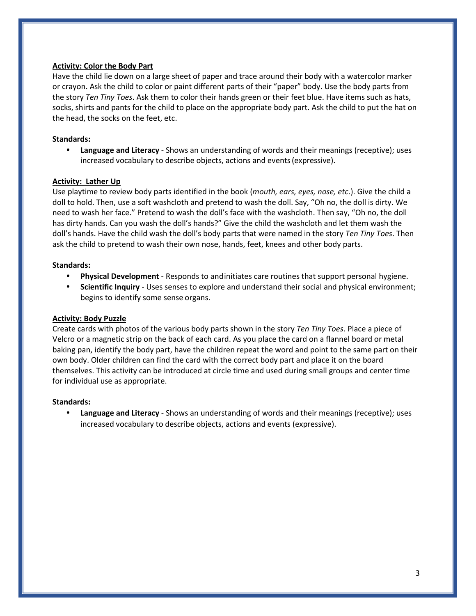#### **Activity: Color the Body Part**

Have the child lie down on a large sheet of paper and trace around their body with a watercolor marker or crayon. Ask the child to color or paint different parts of their "paper" body. Use the body parts from the story *Ten Tiny Toes*. Ask them to color their hands green or their feet blue. Have items such as hats, socks, shirts and pants for the child to place on the appropriate body part. Ask the child to put the hat on the head, the socks on the feet, etc.

# **Standards:**

• **Language and Literacy** - Shows an understanding of words and their meanings (receptive); uses increased vocabulary to describe objects, actions and events(expressive).

## **Activity: Lather Up**

Use playtime to review body parts identified in the book (*mouth, ears, eyes, nose, etc*.). Give the child a doll to hold. Then, use a soft washcloth and pretend to wash the doll. Say, "Oh no, the doll is dirty. We need to wash her face." Pretend to wash the doll's face with the washcloth. Then say, "Oh no, the doll has dirty hands. Can you wash the doll's hands?" Give the child the washcloth and let them wash the doll's hands. Have the child wash the doll's body parts that were named in the story *Ten Tiny Toes*. Then ask the child to pretend to wash their own nose, hands, feet, knees and other body parts.

## **Standards:**

- **Physical Development**  Responds to andinitiates care routines that support personal hygiene.
- **Scientific Inquiry**  Uses senses to explore and understand their social and physical environment; begins to identify some sense organs.

#### **Activity: Body Puzzle**

Create cards with photos of the various body parts shown in the story *Ten Tiny Toes*. Place a piece of Velcro or a magnetic strip on the back of each card. As you place the card on a flannel board or metal baking pan, identify the body part, have the children repeat the word and point to the same part on their own body. Older children can find the card with the correct body part and place it on the board themselves. This activity can be introduced at circle time and used during small groups and center time for individual use as appropriate.

#### **Standards:**

• **Language and Literacy** - Shows an understanding of words and their meanings (receptive); uses increased vocabulary to describe objects, actions and events (expressive).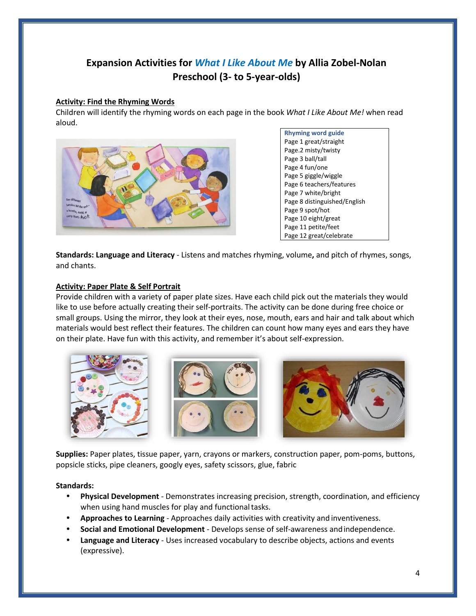# **Expansion Activities for** *What I Like About Me* **by Allia Zobel-Nolan Preschool (3- to 5-year-olds)**

#### **Activity: Find the Rhyming Words**

Children will identify the rhyming words on each page in the book *What I Like About Me!* when read aloud.



**Rhyming word guide**  Page 1 great/straight Page.2 misty/twisty Page 3 ball/tall Page 4 fun/one Page 5 giggle/wiggle Page 6 teachers/features Page 7 white/bright Page 8 distinguished/English Page 9 spot/hot Page 10 eight/great Page 11 petite/feet Page 12 great/celebrate

**Standards: Language and Literacy** - Listens and matches rhyming, volume**,** and pitch of rhymes, songs, and chants.

#### **Activity: Paper Plate & Self Portrait**

Provide children with a variety of paper plate sizes. Have each child pick out the materials they would like to use before actually creating their self-portraits. The activity can be done during free choice or small groups. Using the mirror, they look at their eyes, nose, mouth, ears and hair and talk about which materials would best reflect their features. The children can count how many eyes and ears they have on their plate. Have fun with this activity, and remember it's about self-expression.



**Supplies:** Paper plates, tissue paper, yarn, crayons or markers, construction paper, pom-poms, buttons, popsicle sticks, pipe cleaners, googly eyes, safety scissors, glue, fabric

#### **Standards:**

- **Physical Development**  Demonstrates increasing precision, strength, coordination, and efficiency when using hand muscles for play and functional tasks.
- **Approaches to Learning**  Approaches daily activities with creativity and inventiveness.
- **Social and Emotional Development**  Develops sense of self-awareness andindependence.
- **Language and Literacy**  Uses increased vocabulary to describe objects, actions and events (expressive).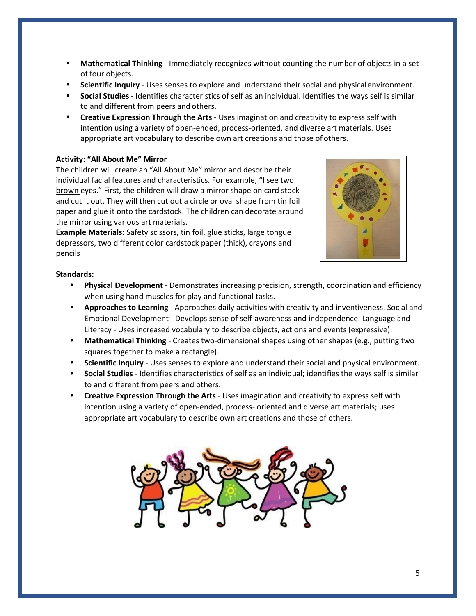- **Mathematical Thinking**  Immediately recognizes without counting the number of objects in a set of four objects.
- **Scientific Inquiry**  Uses senses to explore and understand their social and physicalenvironment.
- **Social Studies**  Identifies characteristics of self as an individual. Identifies the ways self is similar to and different from peers and others.
- **Creative Expression Through the Arts**  Uses imagination and creativity to express self with intention using a variety of open-ended, process-oriented, and diverse art materials. Uses appropriate art vocabulary to describe own art creations and those of others.

#### **Activity: "All About Me" Mirror**

The children will create an "All About Me" mirror and describe their individual facial features and characteristics. For example, "I see two brown eyes." First, the children will draw a mirror shape on card stock and cut it out. They will then cut out a circle or oval shape from tin foil paper and glue it onto the cardstock. The children can decorate around the mirror using various art materials.

**Example Materials:** Safety scissors, tin foil, glue sticks, large tongue depressors, two different color cardstock paper (thick), crayons and pencils



#### **Standards:**

- **Physical Development**  Demonstrates increasing precision, strength, coordination and efficiency when using hand muscles for play and functional tasks.
- **Approaches to Learning**  Approaches daily activities with creativity and inventiveness. Social and Emotional Development - Develops sense of self-awareness and independence. Language and Literacy - Uses increased vocabulary to describe objects, actions and events (expressive).
- **Mathematical Thinking**  Creates two-dimensional shapes using other shapes (e.g., putting two squares together to make a rectangle).
- **Scientific Inquiry** Uses senses to explore and understand their social and physical environment.
- **Social Studies** Identifies characteristics of self as an individual; identifies the ways self is similar to and different from peers and others.
- **Creative Expression Through the Arts**  Uses imagination and creativity to express self with intention using a variety of open-ended, process- oriented and diverse art materials; uses appropriate art vocabulary to describe own art creations and those of others.